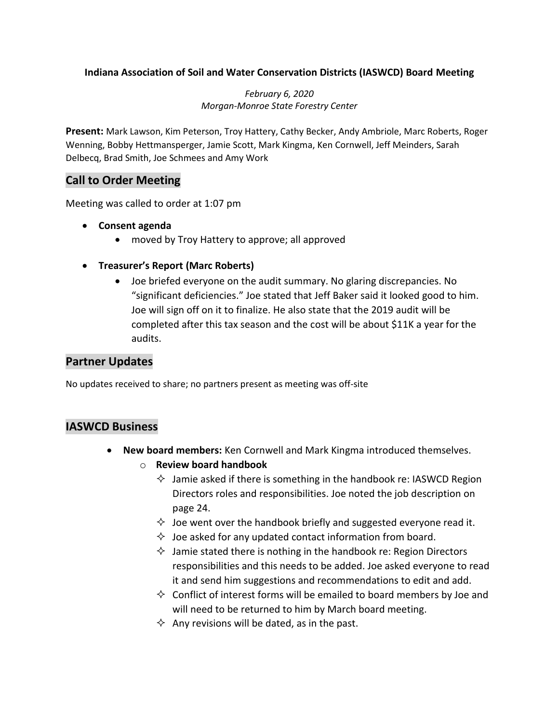### **Indiana Association of Soil and Water Conservation Districts (IASWCD) Board Meeting**

*February 6, 2020 Morgan-Monroe State Forestry Center*

**Present:** Mark Lawson, Kim Peterson, Troy Hattery, Cathy Becker, Andy Ambriole, Marc Roberts, Roger Wenning, Bobby Hettmansperger, Jamie Scott, Mark Kingma, Ken Cornwell, Jeff Meinders, Sarah Delbecq, Brad Smith, Joe Schmees and Amy Work

# **Call to Order Meeting**

Meeting was called to order at 1:07 pm

- **Consent agenda** 
	- moved by Troy Hattery to approve; all approved
- **Treasurer's Report (Marc Roberts)**
	- Joe briefed everyone on the audit summary. No glaring discrepancies. No "significant deficiencies." Joe stated that Jeff Baker said it looked good to him. Joe will sign off on it to finalize. He also state that the 2019 audit will be completed after this tax season and the cost will be about \$11K a year for the audits.

## **Partner Updates**

No updates received to share; no partners present as meeting was off-site

### **IASWCD Business**

- **New board members:** Ken Cornwell and Mark Kingma introduced themselves.
	- o **Review board handbook**
		- $\Diamond$  Jamie asked if there is something in the handbook re: IASWCD Region Directors roles and responsibilities. Joe noted the job description on page 24.
		- $\Diamond$  Joe went over the handbook briefly and suggested everyone read it.
		- $\Diamond$  Joe asked for any updated contact information from board.
		- $\Diamond$  Jamie stated there is nothing in the handbook re: Region Directors responsibilities and this needs to be added. Joe asked everyone to read it and send him suggestions and recommendations to edit and add.
		- $\Diamond$  Conflict of interest forms will be emailed to board members by Joe and will need to be returned to him by March board meeting.
		- $\Diamond$  Any revisions will be dated, as in the past.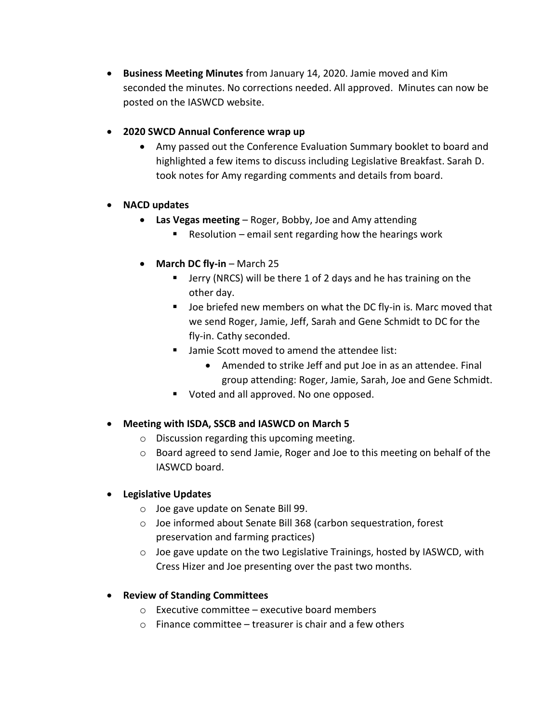- **Business Meeting Minutes** from January 14, 2020. Jamie moved and Kim seconded the minutes. No corrections needed. All approved. Minutes can now be posted on the IASWCD website.
- **2020 SWCD Annual Conference wrap up** 
	- Amy passed out the Conference Evaluation Summary booklet to board and highlighted a few items to discuss including Legislative Breakfast. Sarah D. took notes for Amy regarding comments and details from board.

### **NACD updates**

- **Las Vegas meeting**  Roger, Bobby, Joe and Amy attending
	- Resolution email sent regarding how the hearings work
- **March DC fly-in** March 25
	- **Jerry (NRCS) will be there 1 of 2 days and he has training on the** other day.
	- De briefed new members on what the DC fly-in is. Marc moved that we send Roger, Jamie, Jeff, Sarah and Gene Schmidt to DC for the fly-in. Cathy seconded.
	- Jamie Scott moved to amend the attendee list:
		- Amended to strike Jeff and put Joe in as an attendee. Final group attending: Roger, Jamie, Sarah, Joe and Gene Schmidt.
	- **Voted and all approved. No one opposed.**

### **Meeting with ISDA, SSCB and IASWCD on March 5**

- o Discussion regarding this upcoming meeting.
- $\circ$  Board agreed to send Jamie, Roger and Joe to this meeting on behalf of the IASWCD board.

### **Legislative Updates**

- o Joe gave update on Senate Bill 99.
- o Joe informed about Senate Bill 368 (carbon sequestration, forest preservation and farming practices)
- o Joe gave update on the two Legislative Trainings, hosted by IASWCD, with Cress Hizer and Joe presenting over the past two months.

### **Review of Standing Committees**

- $\circ$  Executive committee executive board members
- $\circ$  Finance committee treasurer is chair and a few others